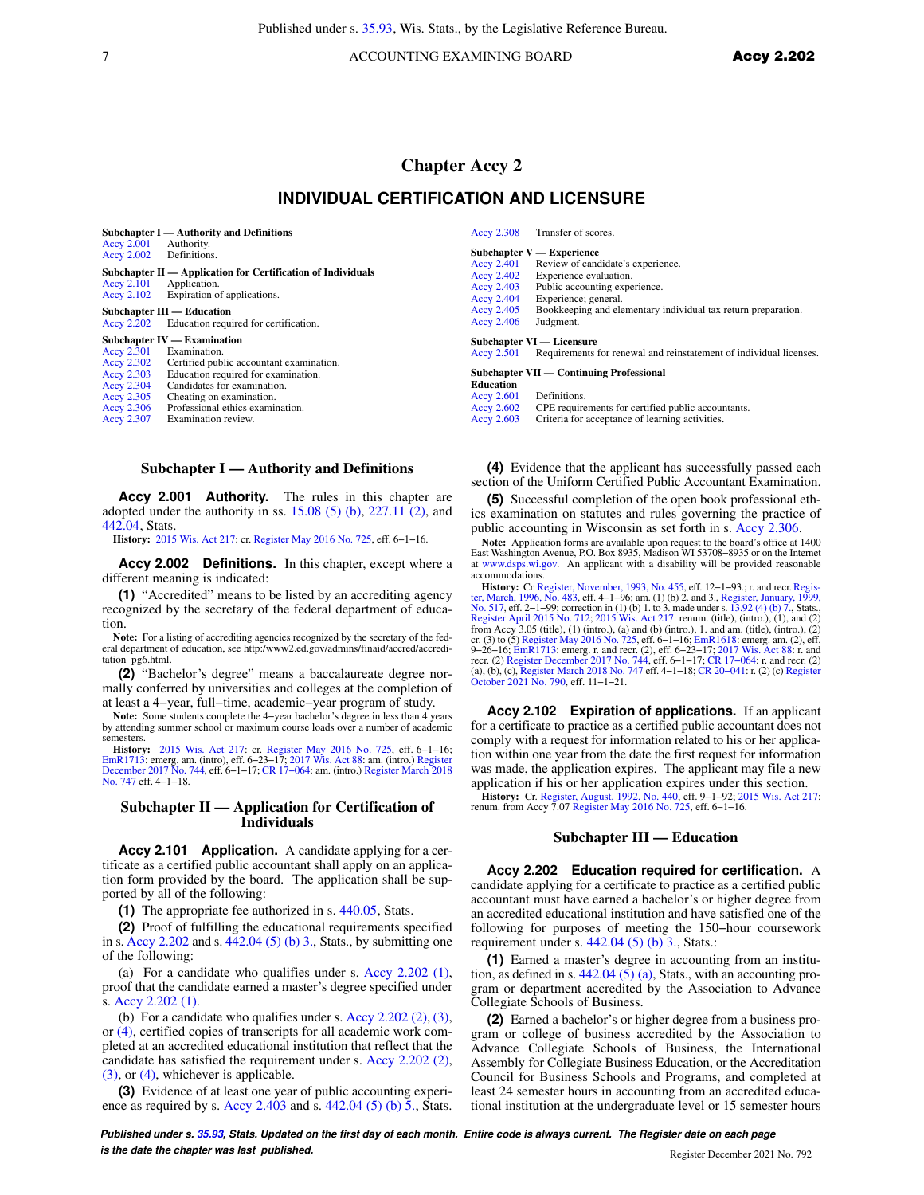T ACCOUNTING EXAMINING BOARD ACCY 2.202

# **Chapter Accy 2**

# **INDIVIDUAL CERTIFICATION AND LICENSURE**

| <b>Subchapter I</b> — Authority and Definitions<br>Accy 2.001<br>Authority.<br>Accy 2.002<br>Definitions.                                                                                                                                                                                                                                                  | Accy 2.308                                                                         | Transfer of scores.<br>Subchapter $V$ — Experience                                                                                                                                                                                                                   |
|------------------------------------------------------------------------------------------------------------------------------------------------------------------------------------------------------------------------------------------------------------------------------------------------------------------------------------------------------------|------------------------------------------------------------------------------------|----------------------------------------------------------------------------------------------------------------------------------------------------------------------------------------------------------------------------------------------------------------------|
| Subchapter II — Application for Certification of Individuals<br>Accy 2.101<br>Application.<br>Expiration of applications.<br>Accy $2.102$<br>Subchapter III — Education<br>Education required for certification.<br>Accy 2.202                                                                                                                             | Accy 2.401<br>Accy 2.402<br>Accy 2.403<br>Accy $2.404$<br>Accy 2.405<br>Accy 2.406 | Review of candidate's experience.<br>Experience evaluation.<br>Public accounting experience.<br>Experience; general.<br>Bookkeeping and elementary individual tax return preparation.<br>Judgment.                                                                   |
| $Subchapter IV - Examination$<br>Accy 2.301<br>Examination.<br>Accy 2.302<br>Certified public accountant examination.<br>Accy 2.303<br>Education required for examination.<br>Candidates for examination.<br>Accy 2.304<br>Accy 2.305<br>Cheating on examination.<br>Professional ethics examination.<br>Accy $2.306$<br>Accy 2.307<br>Examination review. | Accy 2.501<br><b>Education</b><br>Accy 2.601<br>Accy $2.602$<br>Accy 2.603         | Subchapter VI — Licensure<br>Requirements for renewal and reinstatement of individual licenses.<br>Subchapter VII — Continuing Professional<br>Definitions.<br>CPE requirements for certified public accountants.<br>Criteria for acceptance of learning activities. |

#### **Subchapter I — Authority and Definitions**

**Accy 2.001 Authority.** The rules in this chapter are adopted under the authority in ss.  $15.08$  (5) (b),  $227.11$  (2), and [442.04,](https://docs.legis.wisconsin.gov/document/statutes/442.04) Stats.

**History:** [2015 Wis. Act 217](https://docs.legis.wisconsin.gov/document/acts/2015/217): cr. [Register May 2016 No. 725](https://docs.legis.wisconsin.gov/document/register/725/B/toc), eff. 6−1−16.

**Accy 2.002 Definitions.** In this chapter, except where a different meaning is indicated:

**(1)** "Accredited" means to be listed by an accrediting agency recognized by the secretary of the federal department of education.

**Note:** For a listing of accrediting agencies recognized by the secretary of the federal department of education, see http:/www2.ed.gov/admins/finaid/accred/accreditation\_pg6.html.

**(2)** "Bachelor's degree" means a baccalaureate degree normally conferred by universities and colleges at the completion of at least a 4−year, full−time, academic−year program of study.

**Note:** Some students complete the 4−year bachelor's degree in less than 4 years by attending summer school or maximum course loads over a number of academic semesters.

**History:** [2015 Wis. Act 217](https://docs.legis.wisconsin.gov/document/acts/2015/217): cr. [Register May 2016 No. 725,](https://docs.legis.wisconsin.gov/document/register/725/B/toc) eff. 6–1–16;<br>[EmR1713](https://docs.legis.wisconsin.gov/document/emergencyrules/EmR1713): emerg. am. (intro), eff. 6–23–17; [2017 Wis. Act 88](https://docs.legis.wisconsin.gov/document/acts/2017/88): am. (intro.) [Register](https://docs.legis.wisconsin.gov/document/register/744/B/toc)<br>[December 2017 No. 744,](https://docs.legis.wisconsin.gov/document/register/744/B/toc) eff. 6–1–17; CR 17–064: am. (intro.) Regis [No. 747](https://docs.legis.wisconsin.gov/document/register/747/B/toc) eff. 4−1−18.

#### **Subchapter II — Application for Certification of Individuals**

**Accy 2.101 Application.** A candidate applying for a certificate as a certified public accountant shall apply on an application form provided by the board. The application shall be supported by all of the following:

**(1)** The appropriate fee authorized in s. [440.05](https://docs.legis.wisconsin.gov/document/statutes/440.05), Stats.

**(2)** Proof of fulfilling the educational requirements specified in s. [Accy 2.202](https://docs.legis.wisconsin.gov/document/administrativecode/Accy%202.202) and s. [442.04 \(5\) \(b\) 3.,](https://docs.legis.wisconsin.gov/document/statutes/442.04(5)(b)3.) Stats., by submitting one of the following:

(a) For a candidate who qualifies under s. [Accy 2.202 \(1\),](https://docs.legis.wisconsin.gov/document/administrativecode/Accy%202.202(1)) proof that the candidate earned a master's degree specified under s. [Accy 2.202 \(1\)](https://docs.legis.wisconsin.gov/document/administrativecode/Accy%202.202(1)).

(b) For a candidate who qualifies under s. Accy  $2.202(2)$ ,  $(3)$ , or [\(4\)](https://docs.legis.wisconsin.gov/document/administrativecode/Accy%202.202(4)), certified copies of transcripts for all academic work completed at an accredited educational institution that reflect that the candidate has satisfied the requirement under s. [Accy 2.202 \(2\),](https://docs.legis.wisconsin.gov/document/administrativecode/Accy%202.202(2)) [\(3\)](https://docs.legis.wisconsin.gov/document/administrativecode/Accy%202.202(3)), or [\(4\)](https://docs.legis.wisconsin.gov/document/administrativecode/Accy%202.202(4)), whichever is applicable.

**(3)** Evidence of at least one year of public accounting experience as required by s. Accy  $2.403$  and s.  $442.04$  (5) (b) 5., Stats.

**(4)** Evidence that the applicant has successfully passed each section of the Uniform Certified Public Accountant Examination.

**(5)** Successful completion of the open book professional ethics examination on statutes and rules governing the practice of public accounting in Wisconsin as set forth in s. [Accy 2.306](https://docs.legis.wisconsin.gov/document/administrativecode/Accy%202.306).

**Note:** Application forms are available upon request to the board's office at 1400 East Washington Avenue, P.O. Box 8935, Madison WI 53708−8935 or on the Internet at [www.dsps.wi.gov.](http://www.dsps.wi.gov) An applicant with a disability will be provided reasonable accommodations.

accommodations.<br> **History:** Cr. [Register, November, 1993, No. 455](https://docs.legis.wisconsin.gov/document/register/455/B/toc), eff. 12–1–93; r. and recr. Regis-<br> **History:** Cr. Register, 1906, No. 483, eff. 4–1–96; am. (1) (b) 2. and 3., [Register, January, 1999,](https://docs.legis.wisconsin.gov/document/register/517/B/toc)<br> [No. 517](https://docs.legis.wisconsin.gov/document/register/517/B/toc), eff. 2–1

**Accy 2.102 Expiration of applications.** If an applicant for a certificate to practice as a certified public accountant does not comply with a request for information related to his or her application within one year from the date the first request for information was made, the application expires. The applicant may file a new application if his or her application expires under this section.

**History:** Cr. [Register, August, 1992, No. 440](https://docs.legis.wisconsin.gov/document/register/440/B/toc), eff. 9-1-92; [2015 Wis. Act 217](https://docs.legis.wisconsin.gov/document/acts/2015/217): renum. from Accy 7.07 [Register May 2016 No. 725,](https://docs.legis.wisconsin.gov/document/register/725/B/toc) eff. 6-1-16.

# **Subchapter III — Education**

**Accy 2.202 Education required for certification.** A candidate applying for a certificate to practice as a certified public accountant must have earned a bachelor's or higher degree from an accredited educational institution and have satisfied one of the following for purposes of meeting the 150−hour coursework requirement under s.  $442.04$  (5) (b) 3., Stats.:

**(1)** Earned a master's degree in accounting from an institution, as defined in s.  $442.04$  (5) (a), Stats., with an accounting program or department accredited by the Association to Advance Collegiate Schools of Business.

**(2)** Earned a bachelor's or higher degree from a business program or college of business accredited by the Association to Advance Collegiate Schools of Business, the International Assembly for Collegiate Business Education, or the Accreditation Council for Business Schools and Programs, and completed at least 24 semester hours in accounting from an accredited educational institution at the undergraduate level or 15 semester hours

**Published under s. [35.93,](https://docs.legis.wisconsin.gov/document/statutes/35.93) Stats. Updated on the first day of each month. Entire code is always current. The Register date on each page is the date the chapter was last published. Conserved by the chapter of the chapter 2021 No. 792** No. 792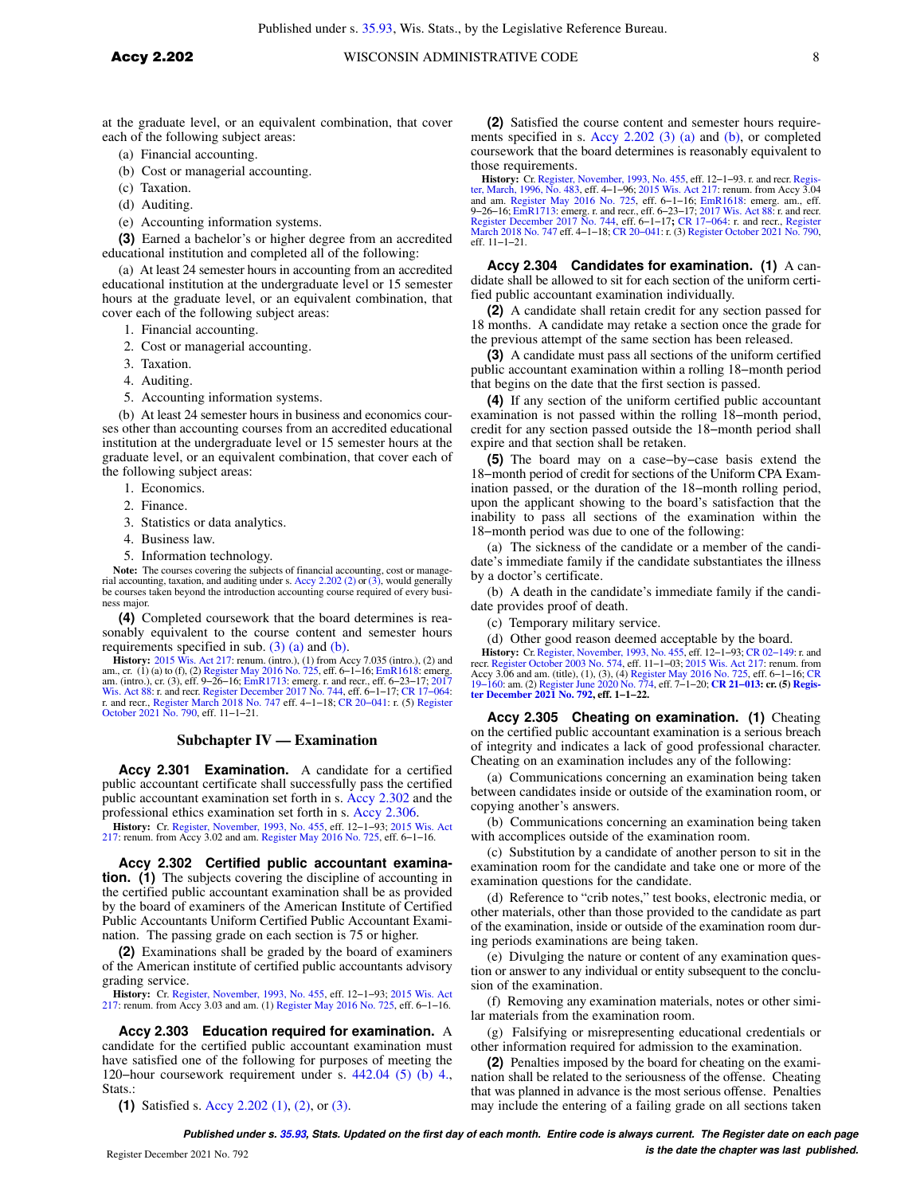at the graduate level, or an equivalent combination, that cover each of the following subject areas:

(a) Financial accounting.

- (b) Cost or managerial accounting.
- (c) Taxation.
- (d) Auditing.
- (e) Accounting information systems.

**(3)** Earned a bachelor's or higher degree from an accredited educational institution and completed all of the following:

(a) At least 24 semester hours in accounting from an accredited educational institution at the undergraduate level or 15 semester hours at the graduate level, or an equivalent combination, that cover each of the following subject areas:

- 1. Financial accounting.
- 2. Cost or managerial accounting.
- 3. Taxation.
- 4. Auditing.
- 5. Accounting information systems.

(b) At least 24 semester hours in business and economics courses other than accounting courses from an accredited educational institution at the undergraduate level or 15 semester hours at the graduate level, or an equivalent combination, that cover each of the following subject areas:

- 1. Economics.
- 2. Finance.
- 3. Statistics or data analytics.
- 4. Business law.
- 5. Information technology.

**Note:** The courses covering the subjects of financial accounting, cost or managerial accounting, taxation, and auditing under s. [Accy 2.202 \(2\)](https://docs.legis.wisconsin.gov/document/administrativecode/Accy%202.202(2)) or [\(3\)](https://docs.legis.wisconsin.gov/document/administrativecode/Accy%202.202(3)), would generally be courses taken beyond the introduction accounting course required of every business major.

**(4)** Completed coursework that the board determines is reasonably equivalent to the course content and semester hours requirements specified in sub.  $(3)$   $(a)$  and  $(b)$ .

**History:** [2015 Wis. Act 217](https://docs.legis.wisconsin.gov/document/acts/2015/217): renum. (intro.), (1) from Accy 7.035 (intro.), (2) and am., cr. (1) (a) to (f), (2) [Register May 2016 No. 725](https://docs.legis.wisconsin.gov/document/register/725/B/toc), eff. 6–1–16; EmRg, 1618: emerg. am., (intro.), cr. (3), eff. 9–26–16; [EmR1713](https://docs.legis.wisconsin.gov/document/emergencyrules/EmR1713): e r. and recr., [Register March 2018 No. 747](https://docs.legis.wisconsin.gov/document/register/747/B/toc) eff. 4−1−18; [CR 20−041:](https://docs.legis.wisconsin.gov/document/cr/2020/41) r. (5) [Register](https://docs.legis.wisconsin.gov/document/register/790/B/toc) [October 2021 No. 790,](https://docs.legis.wisconsin.gov/document/register/790/B/toc) eff. 11−1−21.

### **Subchapter IV — Examination**

**Accy 2.301 Examination.** A candidate for a certified public accountant certificate shall successfully pass the certified public accountant examination set forth in s. [Accy 2.302](https://docs.legis.wisconsin.gov/document/administrativecode/Accy%202.302) and the professional ethics examination set forth in s. [Accy 2.306.](https://docs.legis.wisconsin.gov/document/administrativecode/Accy%202.306)

**History:** Cr. [Register, November, 1993, No. 455](https://docs.legis.wisconsin.gov/document/register/455/B/toc), eff. 12–1–93; [2015 Wis. Act](https://docs.legis.wisconsin.gov/document/acts/2015/217) [217](https://docs.legis.wisconsin.gov/document/acts/2015/217): renum. from Accy 3.02 and am. [Register May 2016 No. 725](https://docs.legis.wisconsin.gov/document/register/725/B/toc), eff. 6–1–16.

**Accy 2.302 Certified public accountant examination. (1)** The subjects covering the discipline of accounting in the certified public accountant examination shall be as provided by the board of examiners of the American Institute of Certified Public Accountants Uniform Certified Public Accountant Examination. The passing grade on each section is 75 or higher.

**(2)** Examinations shall be graded by the board of examiners of the American institute of certified public accountants advisory grading service.

**History:** Cr. [Register, November, 1993, No. 455](https://docs.legis.wisconsin.gov/document/register/455/B/toc), eff. 12−1−93; [2015 Wis. Act](https://docs.legis.wisconsin.gov/document/acts/2015/217) [217](https://docs.legis.wisconsin.gov/document/acts/2015/217): renum. from Accy 3.03 and am. (1) [Register May 2016 No. 725](https://docs.legis.wisconsin.gov/document/register/725/B/toc), eff. 6−1−16.

**Accy 2.303 Education required for examination.** A candidate for the certified public accountant examination must have satisfied one of the following for purposes of meeting the 120−hour coursework requirement under s. [442.04 \(5\) \(b\) 4.,](https://docs.legis.wisconsin.gov/document/statutes/442.04(5)(b)4.) Stats.:

**(1)** Satisfied s. [Accy 2.202 \(1\),](https://docs.legis.wisconsin.gov/document/administrativecode/Accy%202.202(1)) [\(2\),](https://docs.legis.wisconsin.gov/document/administrativecode/Accy%202.202(2)) or [\(3\).](https://docs.legis.wisconsin.gov/document/administrativecode/Accy%202.202(3))

**(2)** Satisfied the course content and semester hours requirements specified in s. [Accy 2.202 \(3\) \(a\)](https://docs.legis.wisconsin.gov/document/administrativecode/Accy%202.202(3)(a)) and [\(b\),](https://docs.legis.wisconsin.gov/document/administrativecode/Accy%202.202(3)(b)) or completed coursework that the board determines is reasonably equivalent to those requirements.

**History:** Cr. [Register, November, 1993, No. 455](https://docs.legis.wisconsin.gov/document/register/455/B/toc), eff. 12–1–93. r. and recr. Regis[ter, March, 1996, No. 483](https://docs.legis.wisconsin.gov/document/register/483/B/toc), eff. 4–1–96; [2015 Wis. Act 217](https://docs.legis.wisconsin.gov/document/acts/2015/217): renum. from Accy 3.04, and am. [Register May 2016 No. 725](https://docs.legis.wisconsin.gov/document/register/725/B/toc), eff. 6–1–16; [EmR1618:](https://docs.legis.wisconsin.gov/document/emergencyrules/EmR1618) e eff. 11−1−21.

**Accy 2.304 Candidates for examination. (1)** A candidate shall be allowed to sit for each section of the uniform certified public accountant examination individually.

**(2)** A candidate shall retain credit for any section passed for 18 months. A candidate may retake a section once the grade for the previous attempt of the same section has been released.

**(3)** A candidate must pass all sections of the uniform certified public accountant examination within a rolling 18−month period that begins on the date that the first section is passed.

**(4)** If any section of the uniform certified public accountant examination is not passed within the rolling 18−month period, credit for any section passed outside the 18−month period shall expire and that section shall be retaken.

**(5)** The board may on a case−by−case basis extend the 18−month period of credit for sections of the Uniform CPA Examination passed, or the duration of the 18−month rolling period, upon the applicant showing to the board's satisfaction that the inability to pass all sections of the examination within the 18−month period was due to one of the following:

(a) The sickness of the candidate or a member of the candidate's immediate family if the candidate substantiates the illness by a doctor's certificate.

(b) A death in the candidate's immediate family if the candidate provides proof of death.

(c) Temporary military service.

(d) Other good reason deemed acceptable by the board.

**History:** Cr. [Register, November, 1993, No. 455](https://docs.legis.wisconsin.gov/document/register/455/B/toc), eff. 12–1–93; CR 02–149: r. and recr. [Register October 2003 No. 574](https://docs.legis.wisconsin.gov/document/register/574/B/toc), eff. 11–1–03; [2015 Wis. Act 217](https://docs.legis.wisconsin.gov/document/acts/2015/217): renum. from Accy 3.06 and am. (title), (1), (3), (4) Register May 2016

**Accy 2.305 Cheating on examination. (1)** Cheating on the certified public accountant examination is a serious breach of integrity and indicates a lack of good professional character. Cheating on an examination includes any of the following:

(a) Communications concerning an examination being taken between candidates inside or outside of the examination room, or copying another's answers.

(b) Communications concerning an examination being taken with accomplices outside of the examination room.

(c) Substitution by a candidate of another person to sit in the examination room for the candidate and take one or more of the examination questions for the candidate.

(d) Reference to "crib notes," test books, electronic media, or other materials, other than those provided to the candidate as part of the examination, inside or outside of the examination room during periods examinations are being taken.

(e) Divulging the nature or content of any examination question or answer to any individual or entity subsequent to the conclusion of the examination.

(f) Removing any examination materials, notes or other similar materials from the examination room.

(g) Falsifying or misrepresenting educational credentials or other information required for admission to the examination.

**(2)** Penalties imposed by the board for cheating on the examination shall be related to the seriousness of the offense. Cheating that was planned in advance is the most serious offense. Penalties may include the entering of a failing grade on all sections taken

**Published under s. [35.93,](https://docs.legis.wisconsin.gov/document/statutes/35.93) Stats. Updated on the first day of each month. Entire code is always current. The Register date on each page is the date the chapter was last published.** Register December 2021 No. 792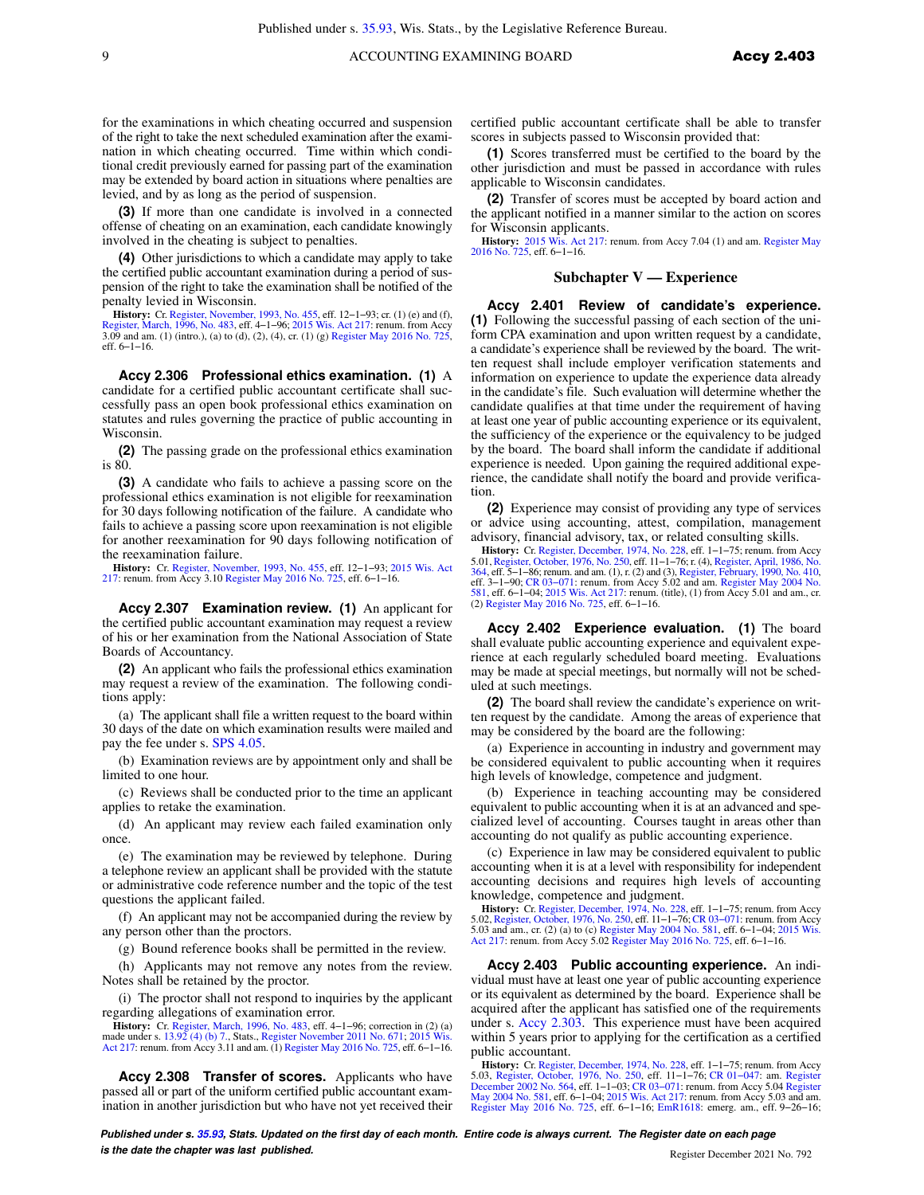for the examinations in which cheating occurred and suspension of the right to take the next scheduled examination after the examination in which cheating occurred. Time within which conditional credit previously earned for passing part of the examination may be extended by board action in situations where penalties are levied, and by as long as the period of suspension.

**(3)** If more than one candidate is involved in a connected offense of cheating on an examination, each candidate knowingly involved in the cheating is subject to penalties.

**(4)** Other jurisdictions to which a candidate may apply to take the certified public accountant examination during a period of suspension of the right to take the examination shall be notified of the penalty levied in Wisconsin.

**History:** Cr. [Register, November, 1993, No. 455,](https://docs.legis.wisconsin.gov/document/register/455/B/toc) eff. 12−1−93; cr. (1) (e) and (f), [Register, March, 1996, No. 483](https://docs.legis.wisconsin.gov/document/register/483/B/toc), eff. 4−1−96; [2015 Wis. Act 217:](https://docs.legis.wisconsin.gov/document/acts/2015/217) renum. from Accy 3.09 and am. (1) (intro.), (a) to (d), (2), (4), cr. (1) (g) [Register May 2016 No. 725](https://docs.legis.wisconsin.gov/document/register/725/B/toc), eff. 6−1−16.

**Accy 2.306 Professional ethics examination. (1)** A candidate for a certified public accountant certificate shall successfully pass an open book professional ethics examination on statutes and rules governing the practice of public accounting in Wisconsin.

**(2)** The passing grade on the professional ethics examination is 80.

**(3)** A candidate who fails to achieve a passing score on the professional ethics examination is not eligible for reexamination for 30 days following notification of the failure. A candidate who fails to achieve a passing score upon reexamination is not eligible for another reexamination for 90 days following notification of the reexamination failure.

**History:** Cr. [Register, November, 1993, No. 455](https://docs.legis.wisconsin.gov/document/register/455/B/toc), eff. 12–1–93; [2015 Wis. Act](https://docs.legis.wisconsin.gov/document/acts/2015/217) [217](https://docs.legis.wisconsin.gov/document/acts/2015/217): renum. from Accy 3.10 [Register May 2016 No. 725](https://docs.legis.wisconsin.gov/document/register/725/B/toc), eff. 6–1–16.

**Accy 2.307 Examination review. (1)** An applicant for the certified public accountant examination may request a review of his or her examination from the National Association of State Boards of Accountancy.

**(2)** An applicant who fails the professional ethics examination may request a review of the examination. The following conditions apply:

(a) The applicant shall file a written request to the board within 30 days of the date on which examination results were mailed and pay the fee under s. [SPS 4.05.](https://docs.legis.wisconsin.gov/document/administrativecode/SPS%204.05)

(b) Examination reviews are by appointment only and shall be limited to one hour.

(c) Reviews shall be conducted prior to the time an applicant applies to retake the examination.

(d) An applicant may review each failed examination only once.

(e) The examination may be reviewed by telephone. During a telephone review an applicant shall be provided with the statute or administrative code reference number and the topic of the test questions the applicant failed.

(f) An applicant may not be accompanied during the review by any person other than the proctors.

(g) Bound reference books shall be permitted in the review.

(h) Applicants may not remove any notes from the review. Notes shall be retained by the proctor.

(i) The proctor shall not respond to inquiries by the applicant regarding allegations of examination error.

**History:** Cr. [Register, March, 1996, No. 483,](https://docs.legis.wisconsin.gov/document/register/483/B/toc) eff. 4–1–96; correction in (2) (a) made under s. [13.92 \(4\) \(b\) 7.](https://docs.legis.wisconsin.gov/document/statutes/13.92(4)(b)7.), Stats., [Register November 2011 No. 671;](https://docs.legis.wisconsin.gov/document/register/671/B/toc) [2015 Wis.](https://docs.legis.wisconsin.gov/document/acts/2015/217)<br>[Act 217](https://docs.legis.wisconsin.gov/document/acts/2015/217): renum. from Accy 3.11 and am. (1) Register May 20

**Accy 2.308 Transfer of scores.** Applicants who have passed all or part of the uniform certified public accountant examination in another jurisdiction but who have not yet received their certified public accountant certificate shall be able to transfer scores in subjects passed to Wisconsin provided that:

**(1)** Scores transferred must be certified to the board by the other jurisdiction and must be passed in accordance with rules applicable to Wisconsin candidates.

**(2)** Transfer of scores must be accepted by board action and the applicant notified in a manner similar to the action on scores for Wisconsin applicants.

**History:** [2015 Wis. Act 217:](https://docs.legis.wisconsin.gov/document/acts/2015/217) renum. from Accy 7.04 (1) and am. [Register May](https://docs.legis.wisconsin.gov/document/register/725/B/toc) [2016 No. 725,](https://docs.legis.wisconsin.gov/document/register/725/B/toc) eff. 6−1−16.

#### **Subchapter V — Experience**

**Accy 2.401 Review of candidate's experience. (1)** Following the successful passing of each section of the uniform CPA examination and upon written request by a candidate, a candidate's experience shall be reviewed by the board. The written request shall include employer verification statements and information on experience to update the experience data already in the candidate's file. Such evaluation will determine whether the candidate qualifies at that time under the requirement of having at least one year of public accounting experience or its equivalent, the sufficiency of the experience or the equivalency to be judged by the board. The board shall inform the candidate if additional experience is needed. Upon gaining the required additional experience, the candidate shall notify the board and provide verification.

**(2)** Experience may consist of providing any type of services or advice using accounting, attest, compilation, management advisory, financial advisory, tax, or related consulting skills.

**History:** Cr. [Register, December, 1974, No. 228,](https://docs.legis.wisconsin.gov/document/register/228/B/toc) eff. 1–1–75; renum. from Accy 5.01, [Register, October, 1976, No. 250](https://docs.legis.wisconsin.gov/document/register/250/B/toc), eff. 11–1–76; r. (4), [Register, April, 1986, No.](https://docs.legis.wisconsin.gov/document/register/364/B/toc) 36, eff. 3–1–96; creation and am. (1), r. (2) and (3)

**Accy 2.402 Experience evaluation. (1)** The board shall evaluate public accounting experience and equivalent experience at each regularly scheduled board meeting. Evaluations may be made at special meetings, but normally will not be scheduled at such meetings.

**(2)** The board shall review the candidate's experience on written request by the candidate. Among the areas of experience that may be considered by the board are the following:

(a) Experience in accounting in industry and government may be considered equivalent to public accounting when it requires high levels of knowledge, competence and judgment.

(b) Experience in teaching accounting may be considered equivalent to public accounting when it is at an advanced and specialized level of accounting. Courses taught in areas other than accounting do not qualify as public accounting experience.

(c) Experience in law may be considered equivalent to public accounting when it is at a level with responsibility for independent accounting decisions and requires high levels of accounting knowledge, competence and judgment.

**History:** Cr. [Register, December, 1974, No. 228,](https://docs.legis.wisconsin.gov/document/register/228/B/toc) eff. 1−1−75; renum. from Accy 5.02, [Register, October, 1976, No. 250,](https://docs.legis.wisconsin.gov/document/register/250/B/toc) eff. 11–1–76; CR 03–071: renum. from Accy<br>5.03 and am., cr. (2) (a) to (c) [Register May 2004 No. 581,](https://docs.legis.wisconsin.gov/document/register/581/B/toc) eff. 6–1–04; [2015 Wis.](https://docs.legis.wisconsin.gov/document/acts/2015/217)<br>[Act 217](https://docs.legis.wisconsin.gov/document/acts/2015/217): renum. from Accy 5.02 [Register May 2016 No. 725,](https://docs.legis.wisconsin.gov/document/register/725/B/toc)

**Accy 2.403 Public accounting experience.** An individual must have at least one year of public accounting experience or its equivalent as determined by the board. Experience shall be acquired after the applicant has satisfied one of the requirements under s. [Accy 2.303.](https://docs.legis.wisconsin.gov/document/administrativecode/Accy%202.303) This experience must have been acquired within 5 years prior to applying for the certification as a certified public accountant.

**History:** Cr. [Register, December, 1974, No. 228,](https://docs.legis.wisconsin.gov/document/register/228/B/toc) eff. 1–1–75; renum. from Accy<br>5.03, [Register, October, 1976, No. 250,](https://docs.legis.wisconsin.gov/document/register/250/B/toc) eff. 11–1–76; CR 01–047: am. [Register](https://docs.legis.wisconsin.gov/document/register/564/B/toc)<br>[December 2002 No. 564](https://docs.legis.wisconsin.gov/document/register/564/B/toc), eff. 1–1–03; CR 03–071: renum. from Accy [Register May 2016 No. 725,](https://docs.legis.wisconsin.gov/document/register/725/B/toc) eff. 6−1−16; [EmR1618](https://docs.legis.wisconsin.gov/document/emergencyrules/EmR1618): emerg. am., eff. 9−26−16;

**Published under s. [35.93,](https://docs.legis.wisconsin.gov/document/statutes/35.93) Stats. Updated on the first day of each month. Entire code is always current. The Register date on each page is the date the chapter was last published. Conserved by the chapter of the chapter 2021 No. 792** No. 792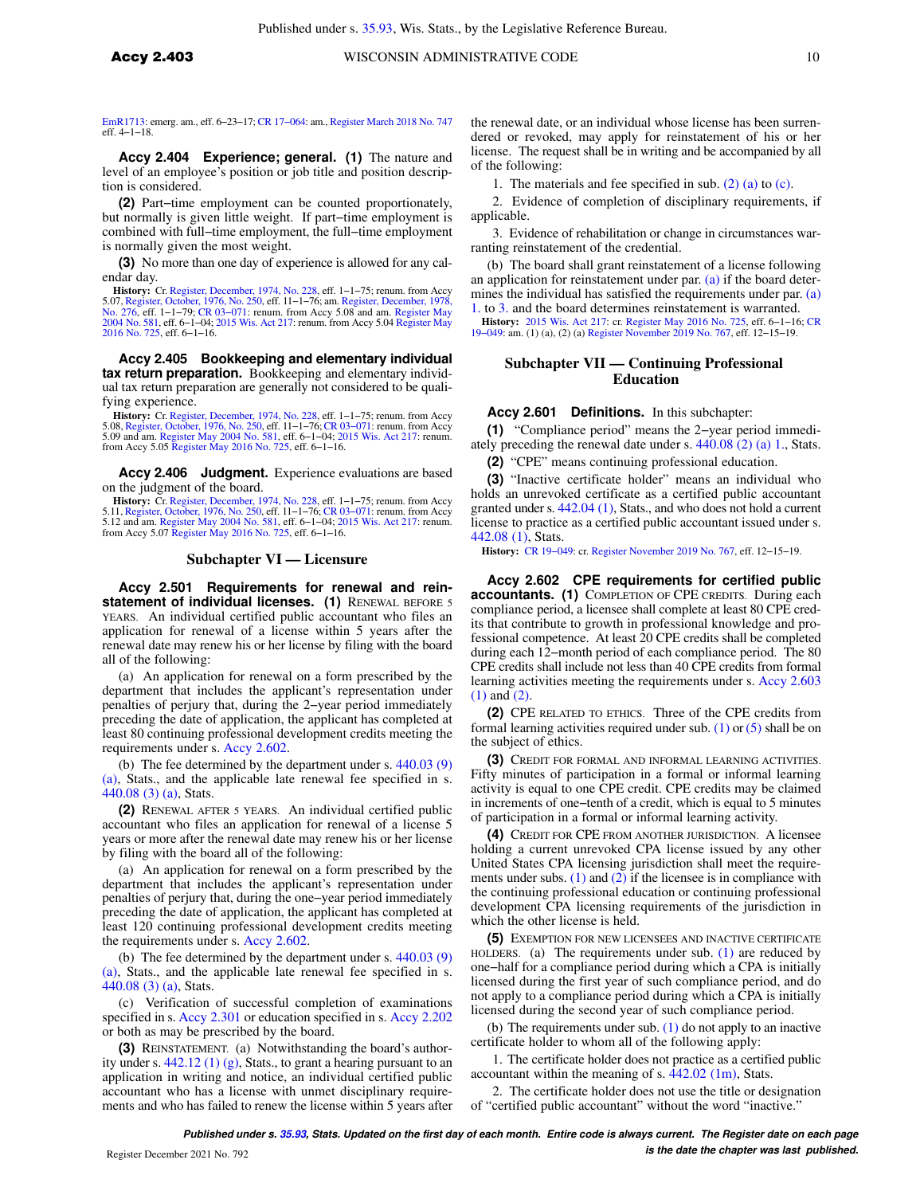[EmR1713](https://docs.legis.wisconsin.gov/document/emergencyrules/EmR1713): emerg. am., eff. 6−23−17; [CR 17−064](https://docs.legis.wisconsin.gov/document/cr/2017/64): am., [Register March 2018 No. 747](https://docs.legis.wisconsin.gov/document/register/747/B/toc) eff. 4−1−18.

**Accy 2.404 Experience; general. (1)** The nature and level of an employee's position or job title and position description is considered.

**(2)** Part−time employment can be counted proportionately, but normally is given little weight. If part−time employment is combined with full−time employment, the full−time employment is normally given the most weight.

**(3)** No more than one day of experience is allowed for any calendar day.

**History:** Cr. [Register, December, 1974, No. 228](https://docs.legis.wisconsin.gov/document/register/228/B/toc), eff. 1−1−75; renum. from Accy 5.07, [Register, October, 1976, No. 250,](https://docs.legis.wisconsin.gov/document/register/250/B/toc) eff. 11–1–76; am. [Register, December, 1978,](https://docs.legis.wisconsin.gov/document/register/276/B/toc)<br>[No. 276,](https://docs.legis.wisconsin.gov/document/register/276/B/toc) eff. 1–1–79; CR 03–071: renum. from Accy 5.08 and am. [Register May](https://docs.legis.wisconsin.gov/document/register/725/B/toc)<br>[2004 No. 581](https://docs.legis.wisconsin.gov/document/register/581/B/toc), eff. 6–1–04; [2015 Wis. Act 217](https://docs.legis.wisconsin.gov/document/acts/2015/217): renum. from Accy [2016 No. 725](https://docs.legis.wisconsin.gov/document/register/725/B/toc), eff. 6−1−16.

**Accy 2.405 Bookkeeping and elementary individual tax return preparation.** Bookkeeping and elementary individual tax return preparation are generally not considered to be qualifying experience.

**History:** Cr. [Register, December, 1974, No. 228](https://docs.legis.wisconsin.gov/document/register/228/B/toc), eff. 1−1−75; renum. from Accy 5.08, [Register, October, 1976, No. 250,](https://docs.legis.wisconsin.gov/document/register/250/B/toc) eff. 11−1−76; [CR 03−071](https://docs.legis.wisconsin.gov/document/cr/2003/71): renum. from Accy<br>5.09 and am. [Register May 2004 No. 581](https://docs.legis.wisconsin.gov/document/register/581/B/toc), eff. 6−1−04; [2015 Wis. Act 217:](https://docs.legis.wisconsin.gov/document/acts/2015/217) renum.<br>from Accy 5.05 [Register May 2016 No. 725,](https://docs.legis.wisconsin.gov/document/register/725/B/toc) eff. 6−1−16.

**Accy 2.406 Judgment.** Experience evaluations are based on the judgment of the board.

History: Cr. [Register, December, 1974, No. 228](https://docs.legis.wisconsin.gov/document/register/228/B/toc), eff. 1–1–75; renum. from Accy<br>5.11, [Register, October, 1976, No. 250](https://docs.legis.wisconsin.gov/document/register/250/B/toc), eff. 11–1–76; CR 03–071: renum. from Accy<br>5.12 and am. [Register May 2004 No. 581](https://docs.legis.wisconsin.gov/document/register/581/B/toc), eff. 6–1–04; 2015 Wis. from Accy 5.07 [Register May 2016 No. 725,](https://docs.legis.wisconsin.gov/document/register/725/B/toc) eff. 6−1−16.

#### **Subchapter VI — Licensure**

**Accy 2.501 Requirements for renewal and reinstatement of individual licenses. (1)** RENEWAL BEFORE 5 YEARS. An individual certified public accountant who files an application for renewal of a license within 5 years after the renewal date may renew his or her license by filing with the board all of the following:

(a) An application for renewal on a form prescribed by the department that includes the applicant's representation under penalties of perjury that, during the 2−year period immediately preceding the date of application, the applicant has completed at least 80 continuing professional development credits meeting the requirements under s. [Accy 2.602.](https://docs.legis.wisconsin.gov/document/administrativecode/Accy%202.602)

(b) The fee determined by the department under s. [440.03 \(9\)](https://docs.legis.wisconsin.gov/document/statutes/440.03(9)(a)) [\(a\),](https://docs.legis.wisconsin.gov/document/statutes/440.03(9)(a)) Stats., and the applicable late renewal fee specified in s. [440.08 \(3\) \(a\),](https://docs.legis.wisconsin.gov/document/statutes/440.08(3)(a)) Stats.

**(2)** RENEWAL AFTER 5 YEARS. An individual certified public accountant who files an application for renewal of a license 5 years or more after the renewal date may renew his or her license by filing with the board all of the following:

(a) An application for renewal on a form prescribed by the department that includes the applicant's representation under penalties of perjury that, during the one−year period immediately preceding the date of application, the applicant has completed at least 120 continuing professional development credits meeting the requirements under s. [Accy 2.602](https://docs.legis.wisconsin.gov/document/administrativecode/Accy%202.602).

(b) The fee determined by the department under s. [440.03 \(9\)](https://docs.legis.wisconsin.gov/document/statutes/440.03(9)(a)) [\(a\),](https://docs.legis.wisconsin.gov/document/statutes/440.03(9)(a)) Stats., and the applicable late renewal fee specified in s. [440.08 \(3\) \(a\),](https://docs.legis.wisconsin.gov/document/statutes/440.08(3)(a)) Stats.

(c) Verification of successful completion of examinations specified in s. [Accy 2.301](https://docs.legis.wisconsin.gov/document/administrativecode/Accy%202.301) or education specified in s. [Accy 2.202](https://docs.legis.wisconsin.gov/document/administrativecode/Accy%202.202) or both as may be prescribed by the board.

**(3)** REINSTATEMENT. (a) Notwithstanding the board's authority under s. [442.12 \(1\) \(g\)](https://docs.legis.wisconsin.gov/document/statutes/442.12(1)(g)), Stats., to grant a hearing pursuant to an application in writing and notice, an individual certified public accountant who has a license with unmet disciplinary requirements and who has failed to renew the license within 5 years after the renewal date, or an individual whose license has been surrendered or revoked, may apply for reinstatement of his or her license. The request shall be in writing and be accompanied by all of the following:

1. The materials and fee specified in sub. [\(2\) \(a\)](https://docs.legis.wisconsin.gov/document/administrativecode/Accy%202.501(2)(a)) to [\(c\)](https://docs.legis.wisconsin.gov/document/administrativecode/Accy%202.501(2)(c)).

2. Evidence of completion of disciplinary requirements, if applicable.

3. Evidence of rehabilitation or change in circumstances warranting reinstatement of the credential.

(b) The board shall grant reinstatement of a license following an application for reinstatement under par. [\(a\)](https://docs.legis.wisconsin.gov/document/administrativecode/Accy%202.501(3)(a)) if the board deter-mines the individual has satisfied the requirements under par. [\(a\)](https://docs.legis.wisconsin.gov/document/administrativecode/Accy%202.501(3)(a)1.) [1.](https://docs.legis.wisconsin.gov/document/administrativecode/Accy%202.501(3)(a)1.) to [3.](https://docs.legis.wisconsin.gov/document/administrativecode/Accy%202.501(3)(a)3.) and the board determines reinstatement is warranted.

**History:** [2015 Wis. Act 217](https://docs.legis.wisconsin.gov/document/acts/2015/217): cr. [Register May 2016 No. 725](https://docs.legis.wisconsin.gov/document/register/725/B/toc), eff. 6−1−16; [CR](https://docs.legis.wisconsin.gov/document/cr/2019/49) [19−049](https://docs.legis.wisconsin.gov/document/cr/2019/49): am. (1) (a), (2) (a) [Register November 2019 No. 767](https://docs.legis.wisconsin.gov/document/register/767/B/toc), eff. 12−15−19.

# **Subchapter VII — Continuing Professional Education**

#### **Accy 2.601 Definitions.** In this subchapter:

**(1)** "Compliance period" means the 2−year period immediately preceding the renewal date under s. [440.08 \(2\) \(a\) 1.](https://docs.legis.wisconsin.gov/document/statutes/440.08(2)(a)1.), Stats.

**(2)** "CPE" means continuing professional education.

**(3)** "Inactive certificate holder" means an individual who holds an unrevoked certificate as a certified public accountant granted under s. [442.04 \(1\),](https://docs.legis.wisconsin.gov/document/statutes/442.04(1)) Stats., and who does not hold a current license to practice as a certified public accountant issued under s. [442.08 \(1\),](https://docs.legis.wisconsin.gov/document/statutes/442.08(1)) Stats.

**History:** [CR 19−049:](https://docs.legis.wisconsin.gov/document/cr/2019/49) cr. [Register November 2019 No. 767,](https://docs.legis.wisconsin.gov/document/register/767/B/toc) eff. 12−15−19.

**Accy 2.602 CPE requirements for certified public accountants. (1)** COMPLETION OF CPE CREDITS. During each compliance period, a licensee shall complete at least 80 CPE credits that contribute to growth in professional knowledge and professional competence. At least 20 CPE credits shall be completed during each 12−month period of each compliance period. The 80 CPE credits shall include not less than 40 CPE credits from formal learning activities meeting the requirements under s. [Accy 2.603](https://docs.legis.wisconsin.gov/document/administrativecode/Accy%202.603(1)) [\(1\)](https://docs.legis.wisconsin.gov/document/administrativecode/Accy%202.603(1)) and [\(2\).](https://docs.legis.wisconsin.gov/document/administrativecode/Accy%202.603(2))

**(2)** CPE RELATED TO ETHICS. Three of the CPE credits from formal learning activities required under sub.  $(1)$  or  $(5)$  shall be on the subject of ethics.

**(3)** CREDIT FOR FORMAL AND INFORMAL LEARNING ACTIVITIES. Fifty minutes of participation in a formal or informal learning activity is equal to one CPE credit. CPE credits may be claimed in increments of one−tenth of a credit, which is equal to 5 minutes of participation in a formal or informal learning activity.

**(4)** CREDIT FOR CPE FROM ANOTHER JURISDICTION. A licensee holding a current unrevoked CPA license issued by any other United States CPA licensing jurisdiction shall meet the requirements under subs.  $(1)$  and  $(2)$  if the licensee is in compliance with the continuing professional education or continuing professional development CPA licensing requirements of the jurisdiction in which the other license is held.

**(5)** EXEMPTION FOR NEW LICENSEES AND INACTIVE CERTIFICATE HOLDERS. (a) The requirements under sub. [\(1\)](https://docs.legis.wisconsin.gov/document/administrativecode/Accy%202.602(1)) are reduced by one−half for a compliance period during which a CPA is initially licensed during the first year of such compliance period, and do not apply to a compliance period during which a CPA is initially licensed during the second year of such compliance period.

(b)The requirements under sub. [\(1\)](https://docs.legis.wisconsin.gov/document/administrativecode/Accy%202.602(1)) do not apply to an inactive certificate holder to whom all of the following apply:

1.The certificate holder does not practice as a certified public accountant within the meaning of s.  $442.02$  (1m), Stats.

2. The certificate holder does not use the title or designation of "certified public accountant" without the word "inactive."

**Published under s. [35.93,](https://docs.legis.wisconsin.gov/document/statutes/35.93) Stats. Updated on the first day of each month. Entire code is always current. The Register date on each page is the date the chapter was last published.** Register December 2021 No. 792